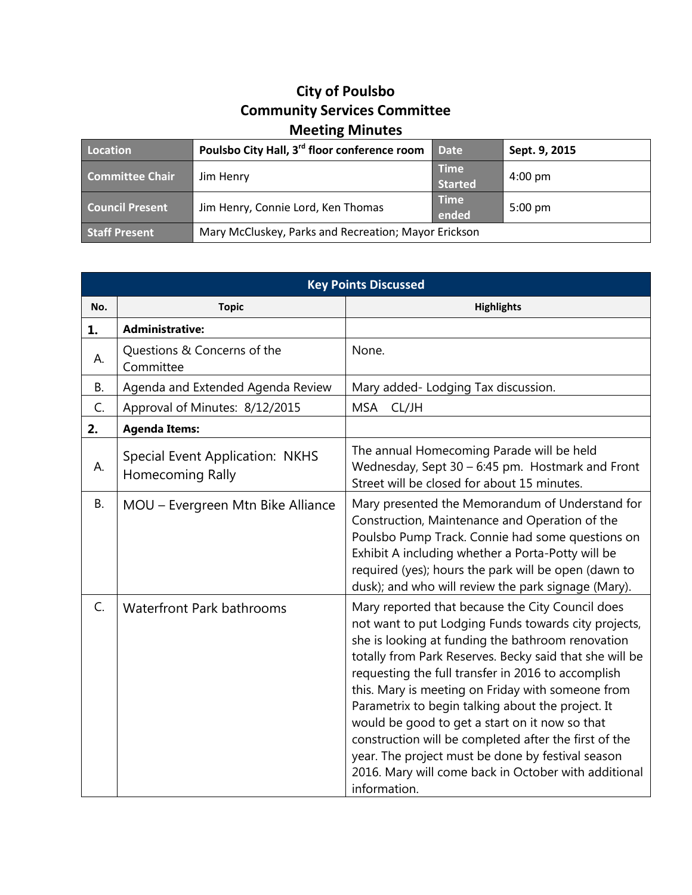## **City of Poulsbo Community Services Committee Meeting Minutes**

| Location               | Poulsbo City Hall, 3 <sup>rd</sup> floor conference room | <b>Date</b>                   | Sept. 9, 2015     |
|------------------------|----------------------------------------------------------|-------------------------------|-------------------|
| <b>Committee Chair</b> | Jim Henry                                                | <b>Time</b><br><b>Started</b> | $4:00 \text{ pm}$ |
| <b>Council Present</b> | Jim Henry, Connie Lord, Ken Thomas                       | <b>Time</b><br>ended          | $5:00 \text{ pm}$ |
| <b>Staff Present</b>   | Mary McCluskey, Parks and Recreation; Mayor Erickson     |                               |                   |

| <b>Key Points Discussed</b> |                                                                   |                                                                                                                                                                                                                                                                                                                                                                                                                                                                                                                                                                                                                                  |  |  |
|-----------------------------|-------------------------------------------------------------------|----------------------------------------------------------------------------------------------------------------------------------------------------------------------------------------------------------------------------------------------------------------------------------------------------------------------------------------------------------------------------------------------------------------------------------------------------------------------------------------------------------------------------------------------------------------------------------------------------------------------------------|--|--|
| No.                         | <b>Topic</b>                                                      | <b>Highlights</b>                                                                                                                                                                                                                                                                                                                                                                                                                                                                                                                                                                                                                |  |  |
| 1.                          | <b>Administrative:</b>                                            |                                                                                                                                                                                                                                                                                                                                                                                                                                                                                                                                                                                                                                  |  |  |
| А.                          | Questions & Concerns of the<br>Committee                          | None.                                                                                                                                                                                                                                                                                                                                                                                                                                                                                                                                                                                                                            |  |  |
| B.                          | Agenda and Extended Agenda Review                                 | Mary added-Lodging Tax discussion.                                                                                                                                                                                                                                                                                                                                                                                                                                                                                                                                                                                               |  |  |
| C.                          | Approval of Minutes: 8/12/2015                                    | <b>MSA</b><br>CL/JH                                                                                                                                                                                                                                                                                                                                                                                                                                                                                                                                                                                                              |  |  |
| 2.                          | <b>Agenda Items:</b>                                              |                                                                                                                                                                                                                                                                                                                                                                                                                                                                                                                                                                                                                                  |  |  |
| А.                          | <b>Special Event Application: NKHS</b><br><b>Homecoming Rally</b> | The annual Homecoming Parade will be held<br>Wednesday, Sept 30 - 6:45 pm. Hostmark and Front<br>Street will be closed for about 15 minutes.                                                                                                                                                                                                                                                                                                                                                                                                                                                                                     |  |  |
| <b>B.</b>                   | MOU - Evergreen Mtn Bike Alliance                                 | Mary presented the Memorandum of Understand for<br>Construction, Maintenance and Operation of the<br>Poulsbo Pump Track. Connie had some questions on<br>Exhibit A including whether a Porta-Potty will be<br>required (yes); hours the park will be open (dawn to<br>dusk); and who will review the park signage (Mary).                                                                                                                                                                                                                                                                                                        |  |  |
| $C_{1}$                     | <b>Waterfront Park bathrooms</b>                                  | Mary reported that because the City Council does<br>not want to put Lodging Funds towards city projects,<br>she is looking at funding the bathroom renovation<br>totally from Park Reserves. Becky said that she will be<br>requesting the full transfer in 2016 to accomplish<br>this. Mary is meeting on Friday with someone from<br>Parametrix to begin talking about the project. It<br>would be good to get a start on it now so that<br>construction will be completed after the first of the<br>year. The project must be done by festival season<br>2016. Mary will come back in October with additional<br>information. |  |  |